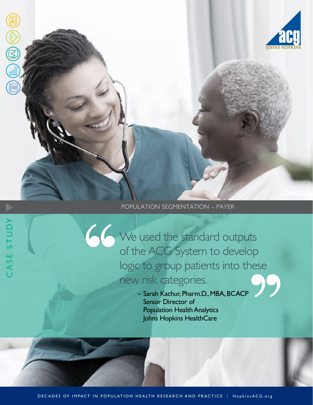

# POPULATION SEGMENTATION – PAYER

We used the standard outputs of the ACG System to develop logic to group patients into these new risk categories.

 – Sarah Kachur, Pharm.D., MBA, BCACP Senior Director of Population Health Analytics Johns Hopkins HealthCare

CASE STUDY

CASE STUDY